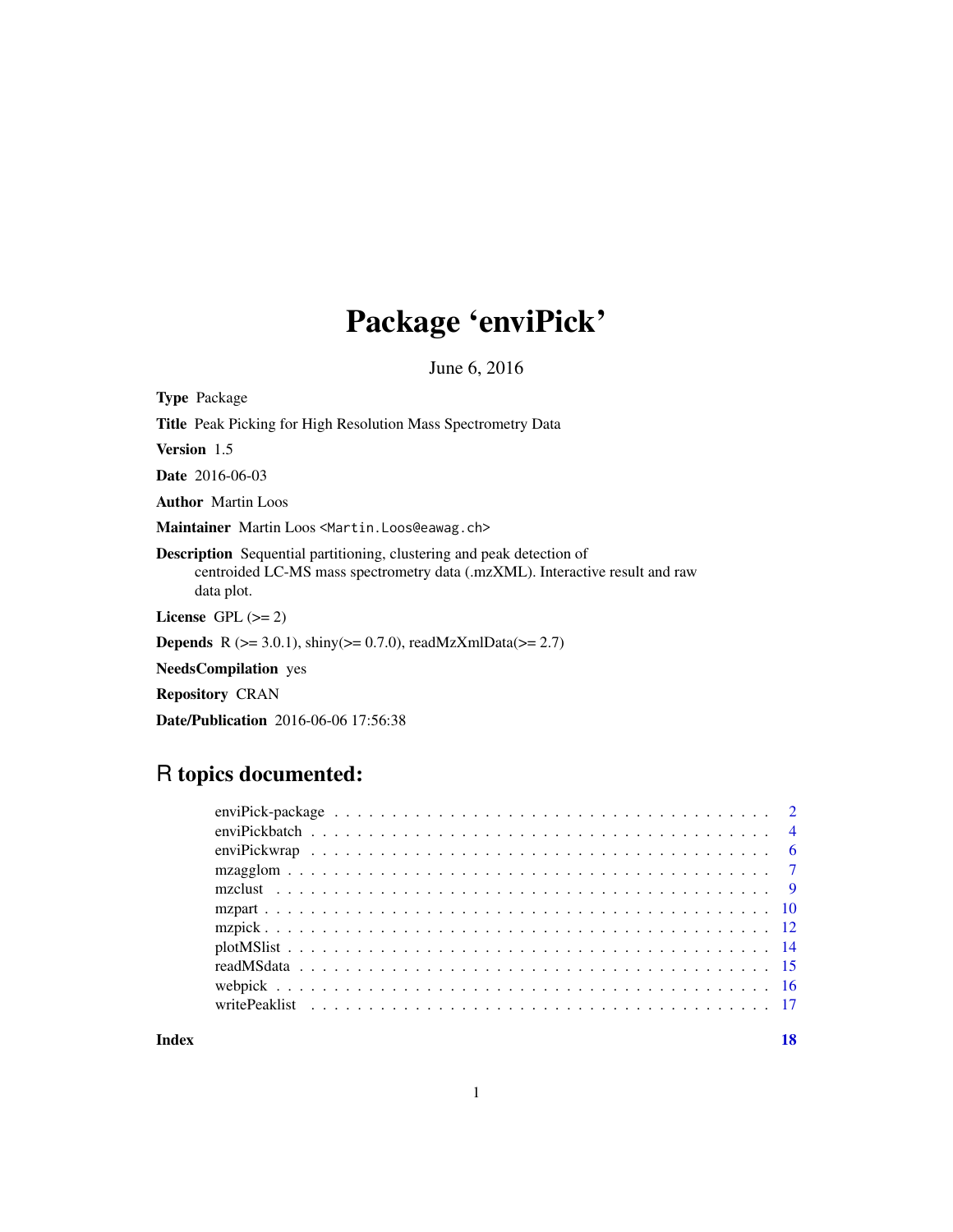# Package 'enviPick'

June 6, 2016

Type Package Title Peak Picking for High Resolution Mass Spectrometry Data Version 1.5 Date 2016-06-03 Author Martin Loos Maintainer Martin Loos <Martin.Loos@eawag.ch> Description Sequential partitioning, clustering and peak detection of centroided LC-MS mass spectrometry data (.mzXML). Interactive result and raw data plot. License GPL  $(>= 2)$ **Depends** R ( $>= 3.0.1$ ), shiny( $>= 0.7.0$ ), readMzXmlData( $>= 2.7$ ) NeedsCompilation yes Repository CRAN

Date/Publication 2016-06-06 17:56:38

# R topics documented:

**Index** 2008 **[18](#page-17-0)**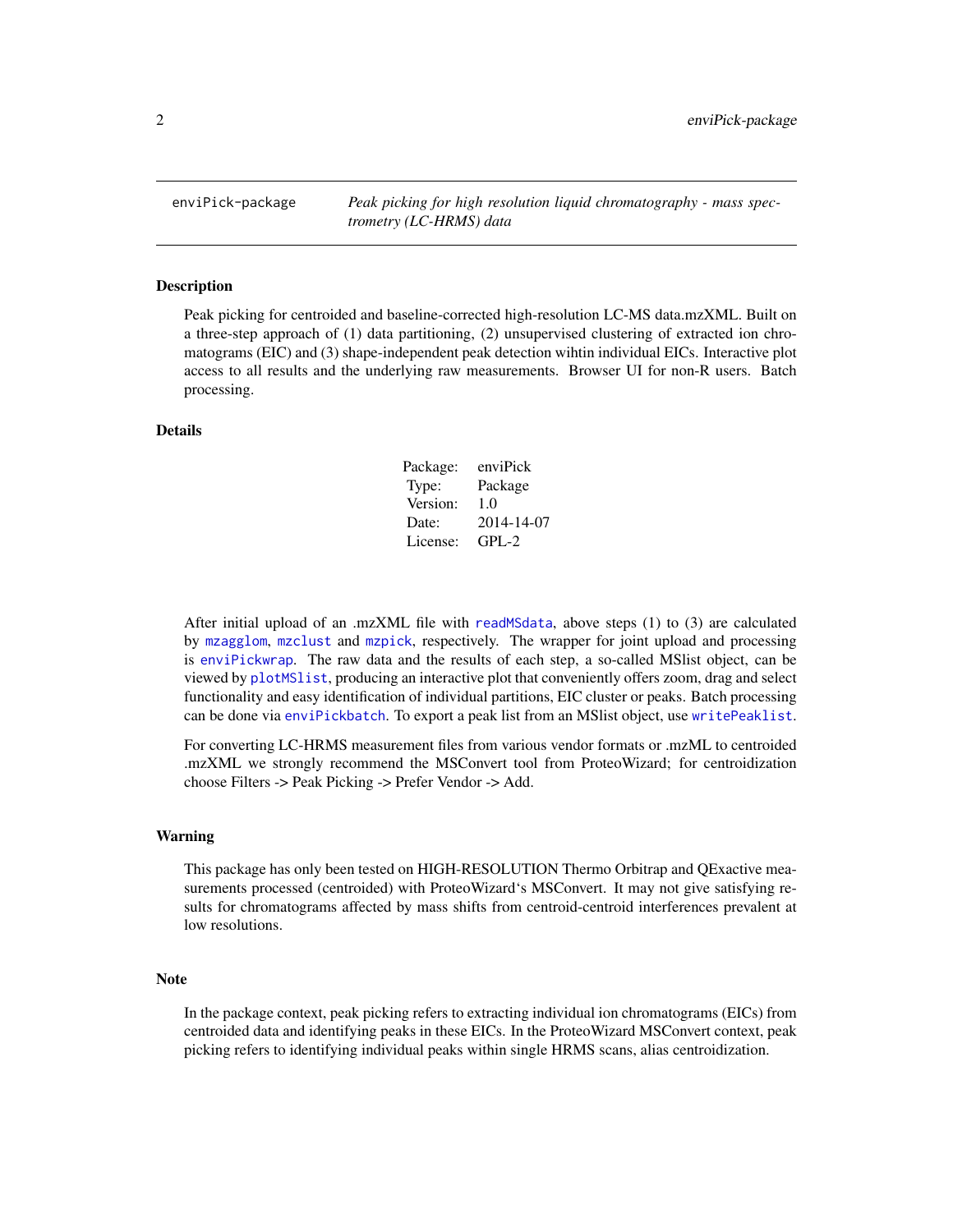<span id="page-1-0"></span>enviPick-package *Peak picking for high resolution liquid chromatography - mass spectrometry (LC-HRMS) data*

#### Description

Peak picking for centroided and baseline-corrected high-resolution LC-MS data.mzXML. Built on a three-step approach of (1) data partitioning, (2) unsupervised clustering of extracted ion chromatograms (EIC) and (3) shape-independent peak detection wihtin individual EICs. Interactive plot access to all results and the underlying raw measurements. Browser UI for non-R users. Batch processing.

#### Details

| Package: | enviPick   |
|----------|------------|
| Type:    | Package    |
| Version: | 1.0        |
| Date:    | 2014-14-07 |
| License: | $GPI - 2$  |

After initial upload of an .mzXML file with [readMSdata](#page-14-1), above steps (1) to (3) are calculated by [mzagglom](#page-6-1), [mzclust](#page-8-1) and [mzpick](#page-11-1), respectively. The wrapper for joint upload and processing is [enviPickwrap](#page-5-1). The raw data and the results of each step, a so-called MSlist object, can be viewed by [plotMSlist](#page-13-1), producing an interactive plot that conveniently offers zoom, drag and select functionality and easy identification of individual partitions, EIC cluster or peaks. Batch processing can be done via [enviPickbatch](#page-3-1). To export a peak list from an MSlist object, use [writePeaklist](#page-16-1).

For converting LC-HRMS measurement files from various vendor formats or .mzML to centroided .mzXML we strongly recommend the MSConvert tool from ProteoWizard; for centroidization choose Filters -> Peak Picking -> Prefer Vendor -> Add.

#### Warning

This package has only been tested on HIGH-RESOLUTION Thermo Orbitrap and QExactive measurements processed (centroided) with ProteoWizard's MSConvert. It may not give satisfying results for chromatograms affected by mass shifts from centroid-centroid interferences prevalent at low resolutions.

#### Note

In the package context, peak picking refers to extracting individual ion chromatograms (EICs) from centroided data and identifying peaks in these EICs. In the ProteoWizard MSConvert context, peak picking refers to identifying individual peaks within single HRMS scans, alias centroidization.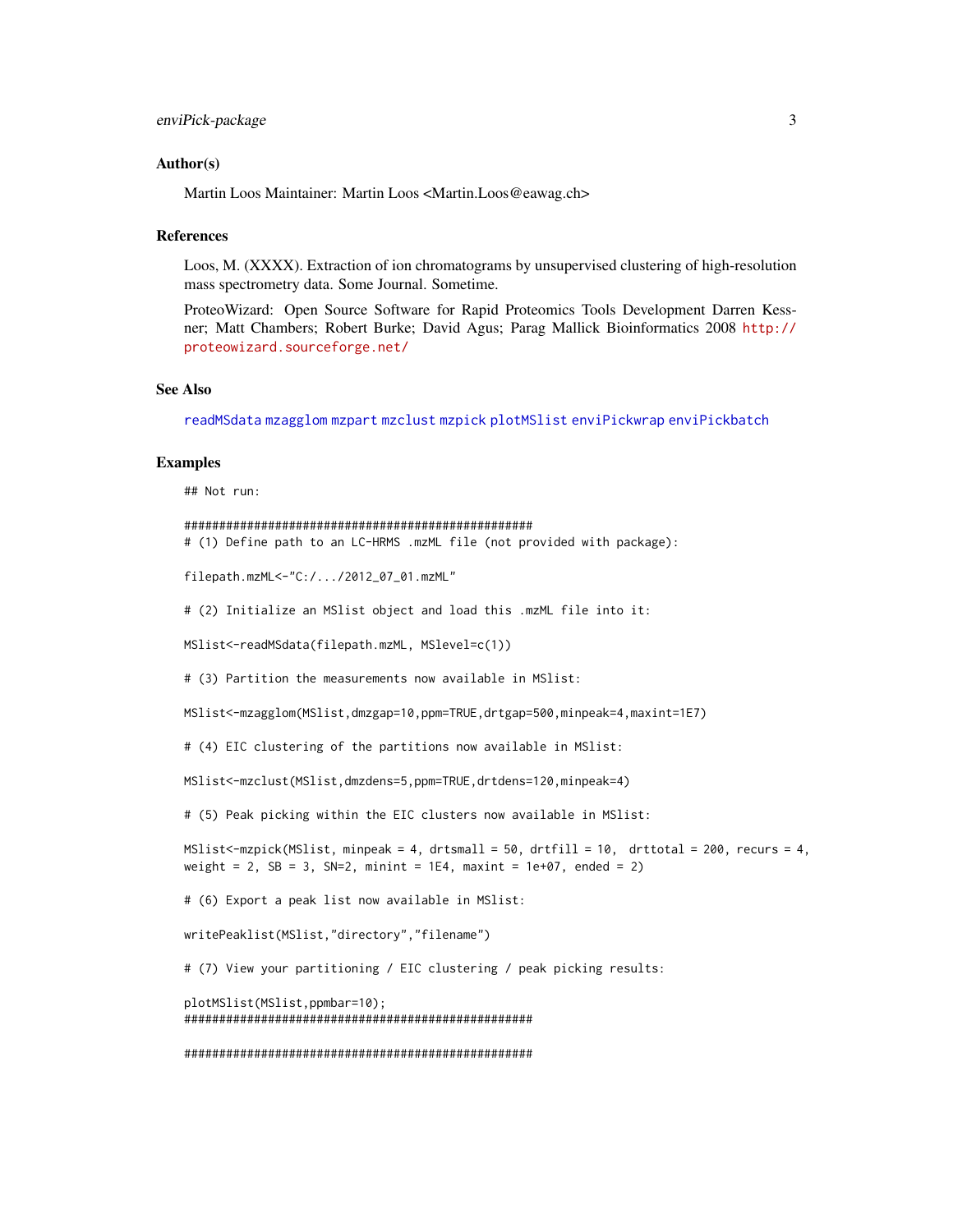#### <span id="page-2-0"></span>Author(s)

Martin Loos Maintainer: Martin Loos <Martin.Loos@eawag.ch>

#### References

Loos, M. (XXXX). Extraction of ion chromatograms by unsupervised clustering of high-resolution mass spectrometry data. Some Journal. Sometime.

ProteoWizard: Open Source Software for Rapid Proteomics Tools Development Darren Kessner; Matt Chambers; Robert Burke; David Agus; Parag Mallick Bioinformatics 2008 [http://](http://proteowizard.sourceforge.net/) [proteowizard.sourceforge.net/](http://proteowizard.sourceforge.net/)

#### See Also

[readMSdata](#page-14-1) [mzagglom](#page-6-1) [mzpart](#page-9-1) [mzclust](#page-8-1) [mzpick](#page-11-1) [plotMSlist](#page-13-1) [enviPickwrap](#page-5-1) [enviPickbatch](#page-3-1)

#### Examples

## Not run:

```
##################################################
# (1) Define path to an LC-HRMS .mzML file (not provided with package):
filepath.mzML<-"C:/.../2012_07_01.mzML"
# (2) Initialize an MSlist object and load this .mzML file into it:
MSlist<-readMSdata(filepath.mzML, MSlevel=c(1))
# (3) Partition the measurements now available in MSlist:
MSlist<-mzagglom(MSlist,dmzgap=10,ppm=TRUE,drtgap=500,minpeak=4,maxint=1E7)
# (4) EIC clustering of the partitions now available in MSlist:
MSlist<-mzclust(MSlist,dmzdens=5,ppm=TRUE,drtdens=120,minpeak=4)
# (5) Peak picking within the EIC clusters now available in MSlist:
MSlist<-mzpick(MSlist, minpeak = 4, drtsmall = 50, drtfill = 10, drttotal = 200, recurs = 4,
weight = 2, SB = 3, SN=2, minint = 1E4, maxint = 1e+07, ended = 2)
# (6) Export a peak list now available in MSlist:
writePeaklist(MSlist,"directory","filename")
# (7) View your partitioning / EIC clustering / peak picking results:
plotMSlist(MSlist,ppmbar=10);
##################################################
##################################################
```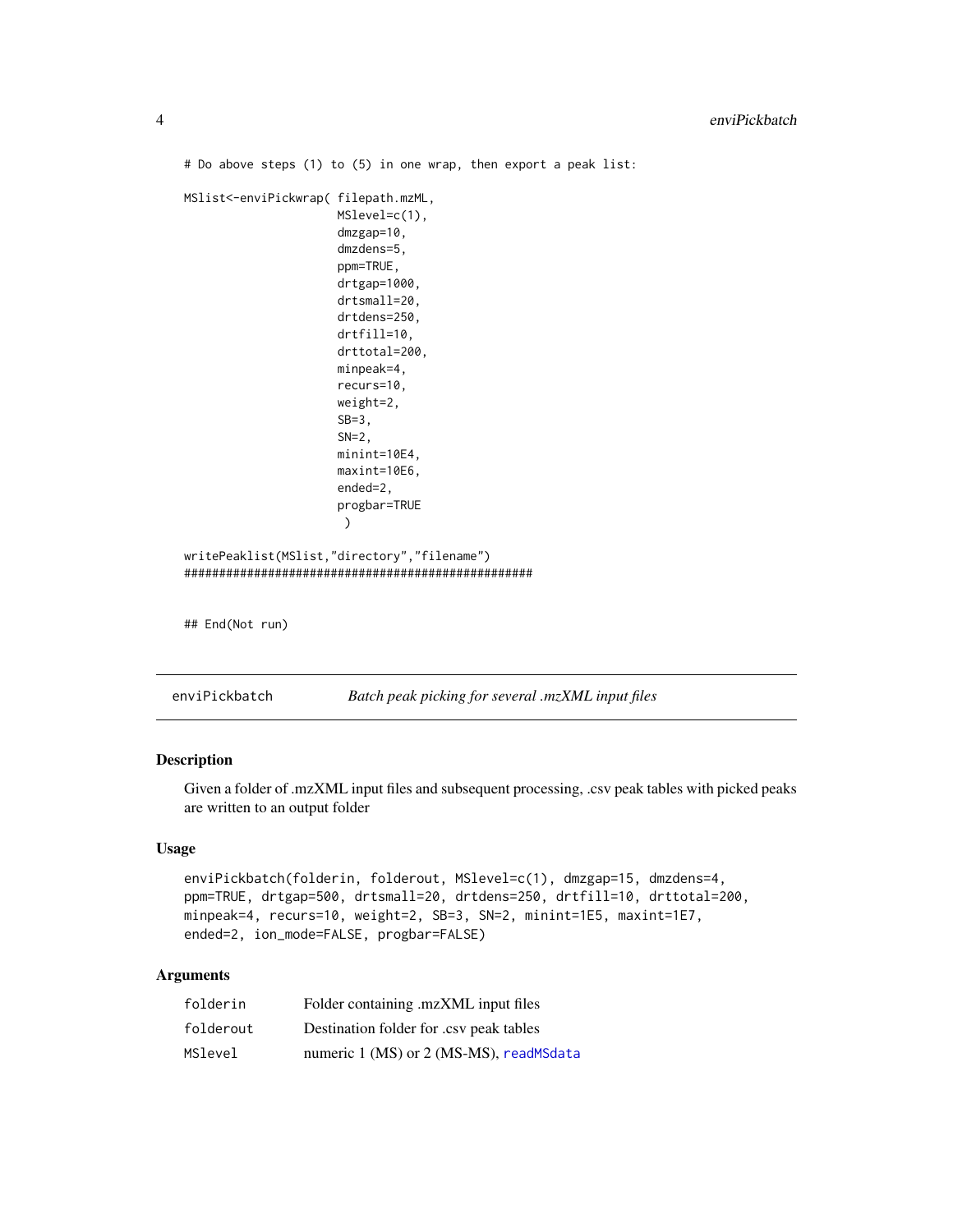```
# Do above steps (1) to (5) in one wrap, then export a peak list:
MSlist<-enviPickwrap( filepath.mzML,
                      MSlevel=c(1),
                      dmzgap=10,
                      dmzdens=5,
                      ppm=TRUE,
                      drtgap=1000,
                      drtsmall=20,
                      drtdens=250,
                      drtfill=10,
                      drttotal=200,
                      minpeak=4,
                      recurs=10,
                      weight=2,
                      SB=3,
                      SN=2,
                      minint=10E4,
                      maxint=10E6,
                      ended=2,
                      progbar=TRUE
                       )
writePeaklist(MSlist,"directory","filename")
##################################################
## End(Not run)
```
<span id="page-3-1"></span>enviPickbatch *Batch peak picking for several .mzXML input files*

# Description

Given a folder of .mzXML input files and subsequent processing, .csv peak tables with picked peaks are written to an output folder

# Usage

```
enviPickbatch(folderin, folderout, MSlevel=c(1), dmzgap=15, dmzdens=4,
ppm=TRUE, drtgap=500, drtsmall=20, drtdens=250, drtfill=10, drttotal=200,
minpeak=4, recurs=10, weight=2, SB=3, SN=2, minint=1E5, maxint=1E7,
ended=2, ion_mode=FALSE, progbar=FALSE)
```
# Arguments

| folderin  | Folder containing .mzXML input files    |
|-----------|-----------------------------------------|
| folderout | Destination folder for .csv peak tables |
| MSlevel   | numeric 1 (MS) or 2 (MS-MS), readMSdata |

<span id="page-3-0"></span>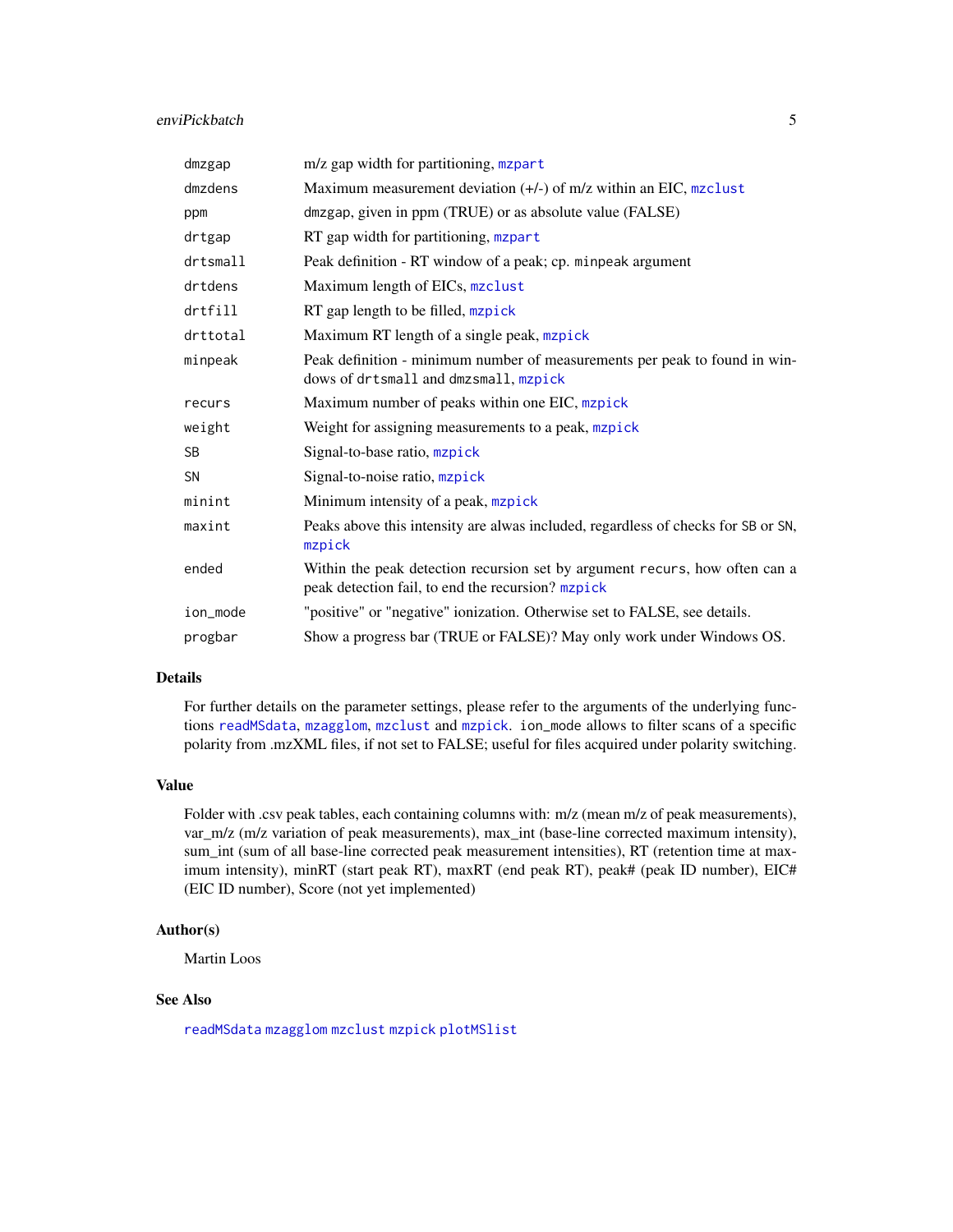# <span id="page-4-0"></span>enviPickbatch 5

| dmzgap      | m/z gap width for partitioning, mzpart                                                                                           |
|-------------|----------------------------------------------------------------------------------------------------------------------------------|
| dmzdens     | Maximum measurement deviation $(+/-)$ of m/z within an EIC, mzclust                                                              |
| ppm         | dmzgap, given in ppm (TRUE) or as absolute value (FALSE)                                                                         |
| drtgap      | RT gap width for partitioning, mzpart                                                                                            |
| $d$ rtsmall | Peak definition - RT window of a peak; cp. minpeak argument                                                                      |
| drtdens     | Maximum length of EICs, mzclust                                                                                                  |
| drtfill     | RT gap length to be filled, mzpick                                                                                               |
| drttotal    | Maximum RT length of a single peak, mzpick                                                                                       |
| minpeak     | Peak definition - minimum number of measurements per peak to found in win-<br>dows of drtsmall and dmzsmall, mzpick              |
| recurs      | Maximum number of peaks within one EIC, mzpick                                                                                   |
| weight      | Weight for assigning measurements to a peak, mzpick                                                                              |
| <b>SB</b>   | Signal-to-base ratio, mzpick                                                                                                     |
| <b>SN</b>   | Signal-to-noise ratio, mzpick                                                                                                    |
| minint      | Minimum intensity of a peak, mzpick                                                                                              |
| maxint      | Peaks above this intensity are alwas included, regardless of checks for SB or SN,<br>mzpick                                      |
| ended       | Within the peak detection recursion set by argument recurs, how often can a<br>peak detection fail, to end the recursion? mzpick |
| ion_mode    | "positive" or "negative" ionization. Otherwise set to FALSE, see details.                                                        |
| progbar     | Show a progress bar (TRUE or FALSE)? May only work under Windows OS.                                                             |

#### Details

For further details on the parameter settings, please refer to the arguments of the underlying functions [readMSdata](#page-14-1), [mzagglom](#page-6-1), [mzclust](#page-8-1) and [mzpick](#page-11-1). ion\_mode allows to filter scans of a specific polarity from .mzXML files, if not set to FALSE; useful for files acquired under polarity switching.

#### Value

Folder with .csv peak tables, each containing columns with: m/z (mean m/z of peak measurements), var m/z (m/z variation of peak measurements), max int (base-line corrected maximum intensity), sum\_int (sum of all base-line corrected peak measurement intensities), RT (retention time at maximum intensity), minRT (start peak RT), maxRT (end peak RT), peak# (peak ID number), EIC# (EIC ID number), Score (not yet implemented)

# Author(s)

Martin Loos

# See Also

[readMSdata](#page-14-1) [mzagglom](#page-6-1) [mzclust](#page-8-1) [mzpick](#page-11-1) [plotMSlist](#page-13-1)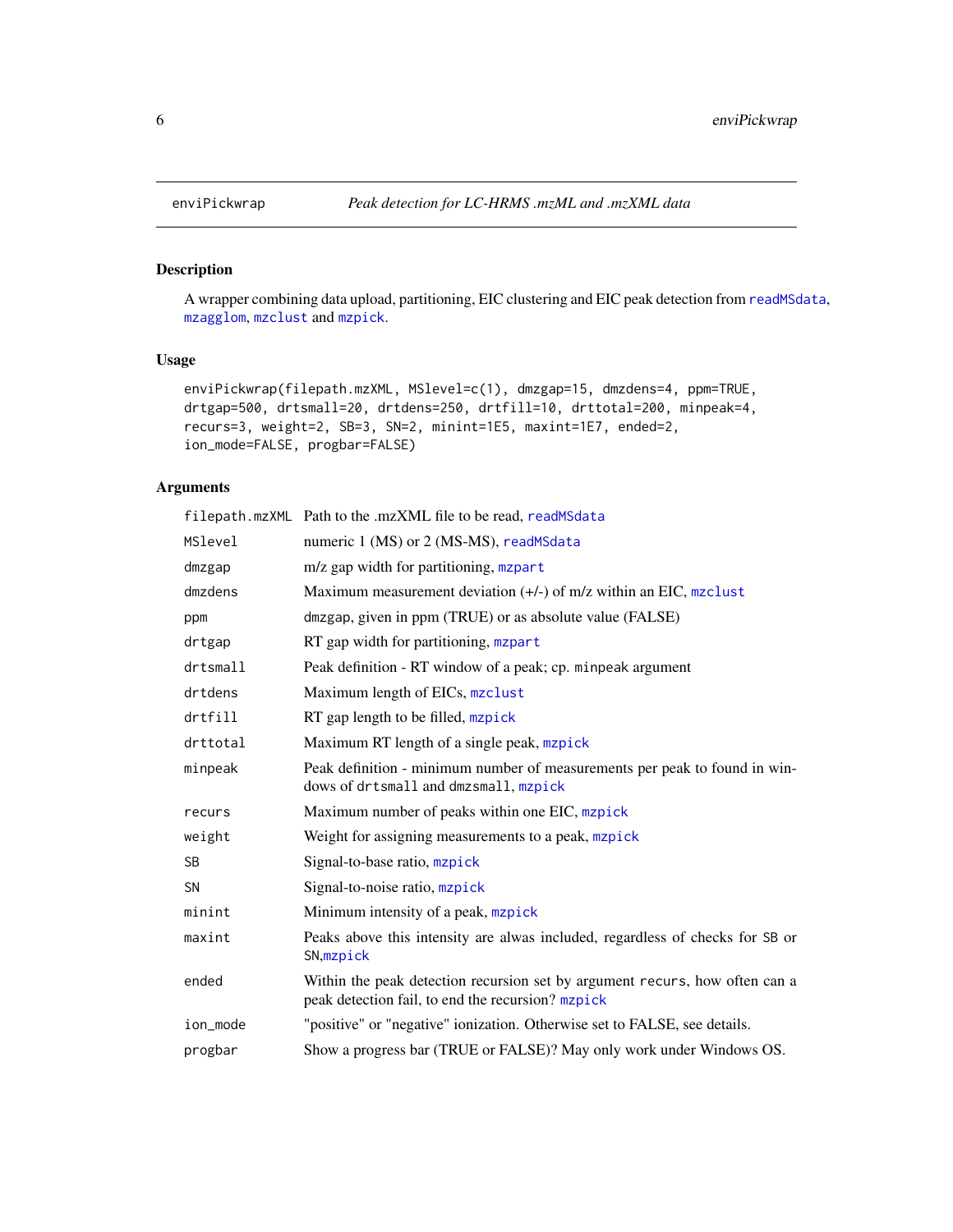A wrapper combining data upload, partitioning, EIC clustering and EIC peak detection from [readMSdata](#page-14-1), [mzagglom](#page-6-1), [mzclust](#page-8-1) and [mzpick](#page-11-1).

# Usage

```
enviPickwrap(filepath.mzXML, MSlevel=c(1), dmzgap=15, dmzdens=4, ppm=TRUE,
drtgap=500, drtsmall=20, drtdens=250, drtfill=10, drttotal=200, minpeak=4,
recurs=3, weight=2, SB=3, SN=2, minint=1E5, maxint=1E7, ended=2,
ion_mode=FALSE, progbar=FALSE)
```
# Arguments

|           | filepath.mzXML Path to the .mzXML file to be read, readMSdata                                                                    |
|-----------|----------------------------------------------------------------------------------------------------------------------------------|
| MSlevel   | numeric 1 (MS) or 2 (MS-MS), readMSdata                                                                                          |
| dmzgap    | m/z gap width for partitioning, mzpart                                                                                           |
| dmzdens   | Maximum measurement deviation $(+/-)$ of m/z within an EIC, mzclust                                                              |
| ppm       | dmzgap, given in ppm (TRUE) or as absolute value (FALSE)                                                                         |
| drtgap    | RT gap width for partitioning, mzpart                                                                                            |
| drtsmall  | Peak definition - RT window of a peak; cp. minpeak argument                                                                      |
| drtdens   | Maximum length of EICs, mzclust                                                                                                  |
| drtfill   | RT gap length to be filled, mzpick                                                                                               |
| drttotal  | Maximum RT length of a single peak, mzpick                                                                                       |
| minpeak   | Peak definition - minimum number of measurements per peak to found in win-<br>dows of drtsmall and dmzsmall, mzpick              |
| recurs    | Maximum number of peaks within one EIC, mzpick                                                                                   |
| weight    | Weight for assigning measurements to a peak, mzpick                                                                              |
| <b>SB</b> | Signal-to-base ratio, mzpick                                                                                                     |
| <b>SN</b> | Signal-to-noise ratio, mzpick                                                                                                    |
| minint    | Minimum intensity of a peak, mzpick                                                                                              |
| maxint    | Peaks above this intensity are alwas included, regardless of checks for SB or<br>SN, mzpick                                      |
| ended     | Within the peak detection recursion set by argument recurs, how often can a<br>peak detection fail, to end the recursion? mzpick |
| ion_mode  | "positive" or "negative" ionization. Otherwise set to FALSE, see details.                                                        |
| progbar   | Show a progress bar (TRUE or FALSE)? May only work under Windows OS.                                                             |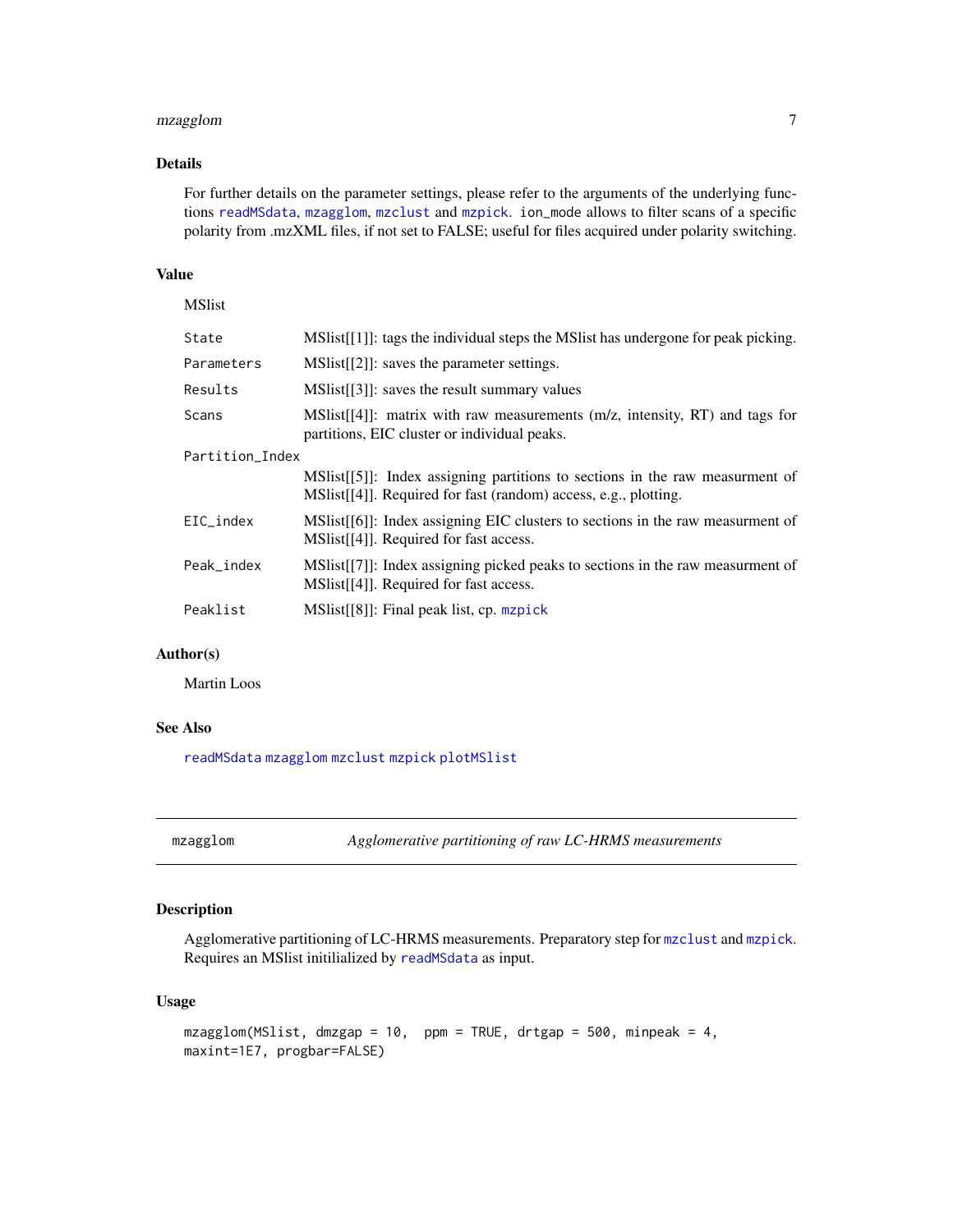# <span id="page-6-0"></span>mzagglom 7

# Details

For further details on the parameter settings, please refer to the arguments of the underlying functions [readMSdata](#page-14-1), [mzagglom](#page-6-1), [mzclust](#page-8-1) and [mzpick](#page-11-1). ion\_mode allows to filter scans of a specific polarity from .mzXML files, if not set to FALSE; useful for files acquired under polarity switching.

# Value

MSlist

| State           | MSIist[[1]]: tags the individual steps the MSIist has undergone for peak picking.                                                                |
|-----------------|--------------------------------------------------------------------------------------------------------------------------------------------------|
| Parameters      | $MSlist[[2]]$ : saves the parameter settings.                                                                                                    |
| Results         | MSI. [3]: saves the result summary values                                                                                                        |
| Scans           | MSIst[[4]: matrix with raw measurements $(m/z,$ intensity, RT) and tags for<br>partitions, EIC cluster or individual peaks.                      |
| Partition_Index |                                                                                                                                                  |
|                 | $MSlist[[5]]$ : Index assigning partitions to sections in the raw measures of<br>MSIist[[4]]. Required for fast (random) access, e.g., plotting. |
| EIC_index       | $MSlist[[6]]$ : Index assigning EIC clusters to sections in the raw measurment of<br>MSlist[[4]]. Required for fast access.                      |
| Peak index      | $MSlist[[7]]$ : Index assigning picked peaks to sections in the raw measurment of<br>MSlist[[4]]. Required for fast access.                      |
| Peaklist        | $MSlist[[8]]$ : Final peak list, cp. mzpick                                                                                                      |
|                 |                                                                                                                                                  |

# Author(s)

Martin Loos

#### See Also

[readMSdata](#page-14-1) [mzagglom](#page-6-1) [mzclust](#page-8-1) [mzpick](#page-11-1) [plotMSlist](#page-13-1)

<span id="page-6-1"></span>mzagglom *Agglomerative partitioning of raw LC-HRMS measurements*

# Description

Agglomerative partitioning of LC-HRMS measurements. Preparatory step for [mzclust](#page-8-1) and [mzpick](#page-11-1). Requires an MSlist initilialized by [readMSdata](#page-14-1) as input.

# Usage

```
mzagglom(MSlist, dmzgap = 10, ppm = TRUE, drtgap = 500, minpeak = 4,
maxint=1E7, progbar=FALSE)
```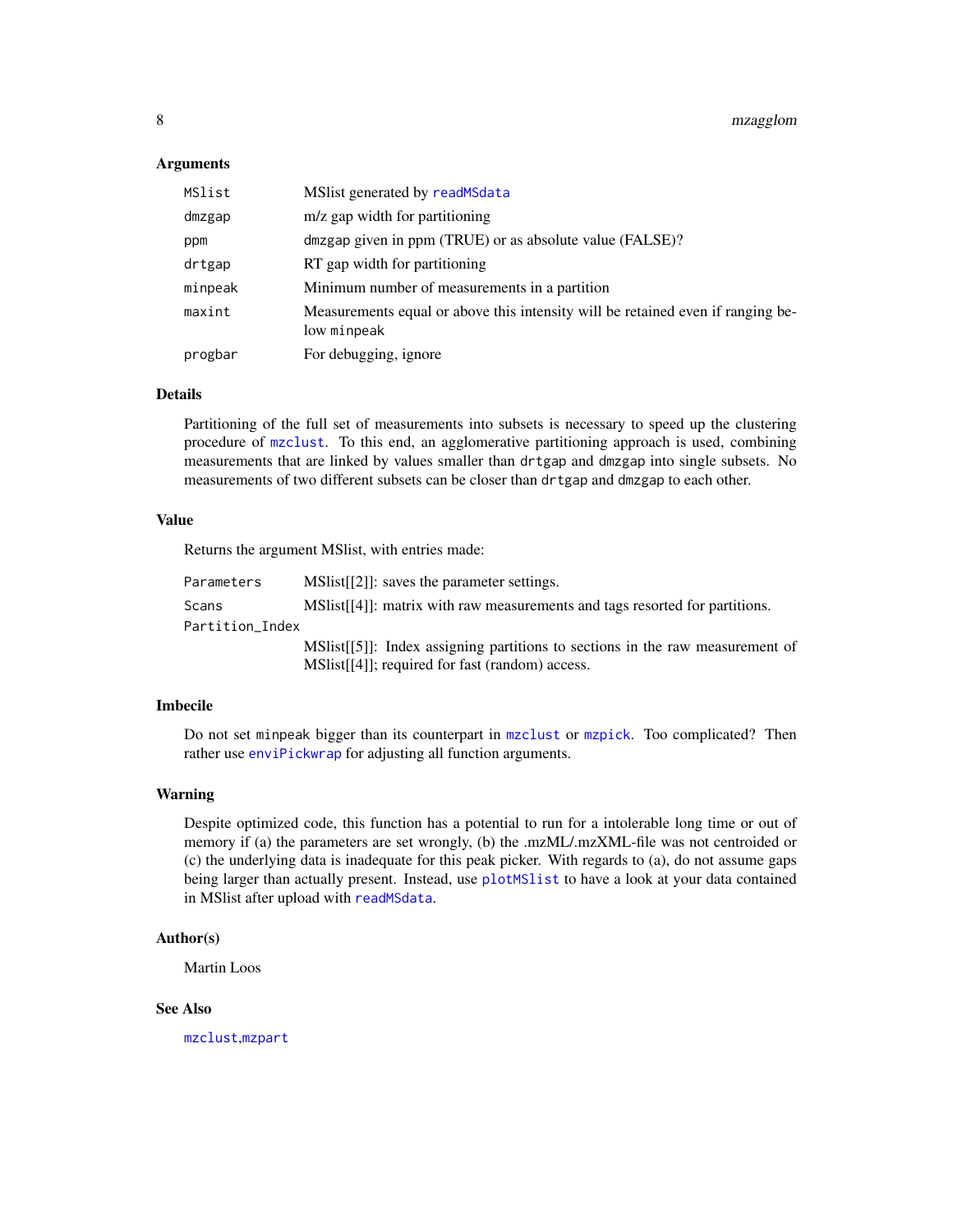#### <span id="page-7-0"></span>**Arguments**

| MSlist  | MSlist generated by readMSdata                                                                 |
|---------|------------------------------------------------------------------------------------------------|
| dmzgap  | m/z gap width for partitioning                                                                 |
| ppm     | dmzgap given in ppm (TRUE) or as absolute value (FALSE)?                                       |
| drtgap  | RT gap width for partitioning                                                                  |
| minpeak | Minimum number of measurements in a partition                                                  |
| maxint  | Measurements equal or above this intensity will be retained even if ranging be-<br>low minpeak |
| progbar | For debugging, ignore                                                                          |

# Details

Partitioning of the full set of measurements into subsets is necessary to speed up the clustering procedure of [mzclust](#page-8-1). To this end, an agglomerative partitioning approach is used, combining measurements that are linked by values smaller than drtgap and dmzgap into single subsets. No measurements of two different subsets can be closer than drtgap and dmzgap to each other.

#### Value

Returns the argument MSlist, with entries made:

| Parameters      | MSIst[[2]]: saves the parameter settings.                                         |
|-----------------|-----------------------------------------------------------------------------------|
| Scans           | MSI. Solist [[4]]: matrix with raw measurements and tags resorted for partitions. |
| Partition_Index |                                                                                   |
|                 | MSlist[[5]]: Index assigning partitions to sections in the raw measurement of     |
|                 | MSI. [4]; required for fast (random) access.                                      |

#### Imbecile

Do not set minpeak bigger than its counterpart in [mzclust](#page-8-1) or [mzpick](#page-11-1). Too complicated? Then rather use [enviPickwrap](#page-5-1) for adjusting all function arguments.

# Warning

Despite optimized code, this function has a potential to run for a intolerable long time or out of memory if (a) the parameters are set wrongly, (b) the .mzML/.mzXML-file was not centroided or (c) the underlying data is inadequate for this peak picker. With regards to (a), do not assume gaps being larger than actually present. Instead, use [plotMSlist](#page-13-1) to have a look at your data contained in MSlist after upload with [readMSdata](#page-14-1).

#### Author(s)

Martin Loos

# See Also

[mzclust](#page-8-1),[mzpart](#page-9-1)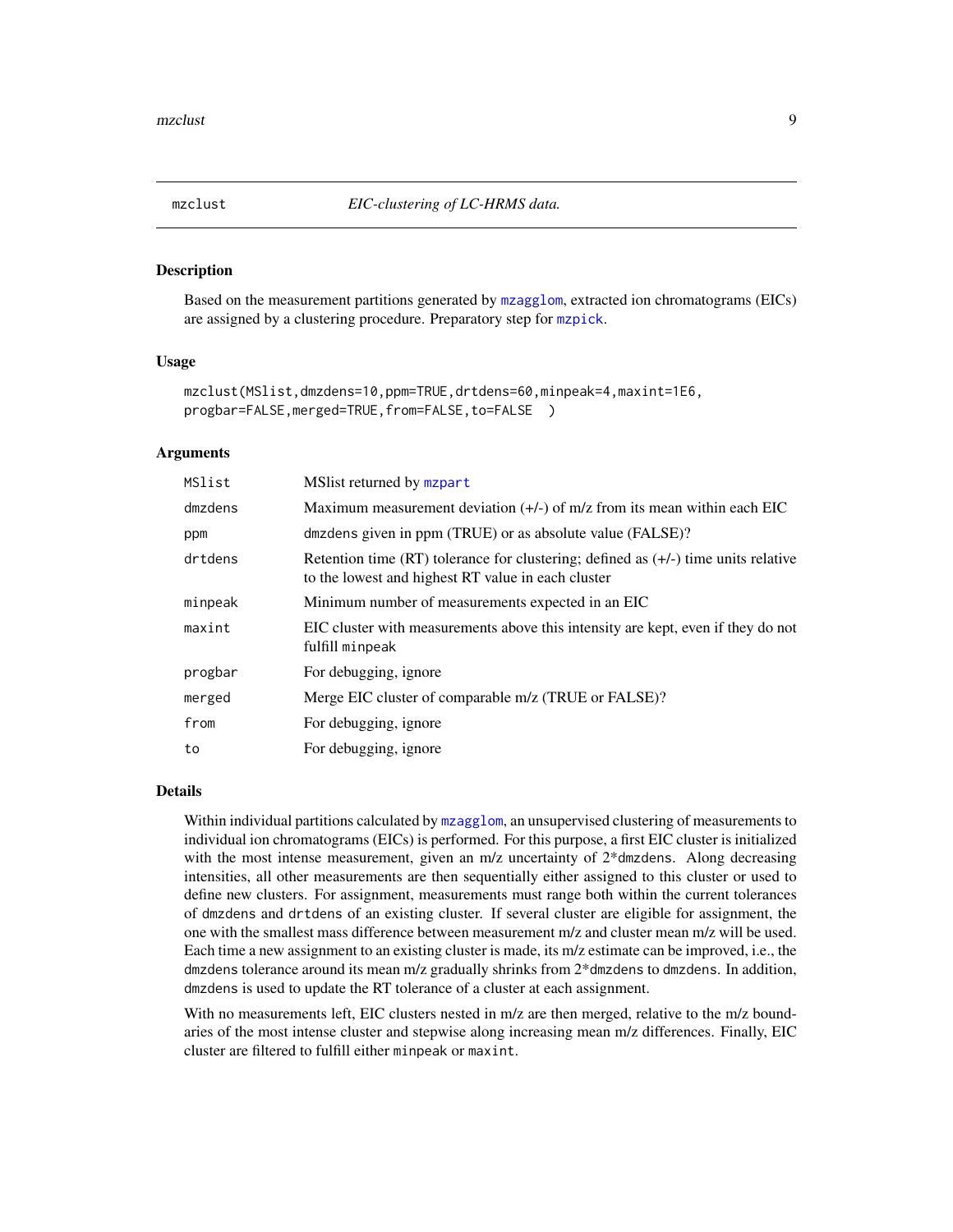<span id="page-8-1"></span><span id="page-8-0"></span>

Based on the measurement partitions generated by [mzagglom](#page-6-1), extracted ion chromatograms (EICs) are assigned by a clustering procedure. Preparatory step for [mzpick](#page-11-1).

#### Usage

```
mzclust(MSlist,dmzdens=10,ppm=TRUE,drtdens=60,minpeak=4,maxint=1E6,
progbar=FALSE, merged=TRUE, from=FALSE, to=FALSE )
```
# Arguments

| MSlist  | MS list returned by mapart                                                                                                                 |
|---------|--------------------------------------------------------------------------------------------------------------------------------------------|
| dmzdens | Maximum measurement deviation $(+)$ of m/z from its mean within each EIC                                                                   |
| ppm     | dmzdens given in ppm (TRUE) or as absolute value (FALSE)?                                                                                  |
| drtdens | Retention time (RT) tolerance for clustering; defined as $(+/-)$ time units relative<br>to the lowest and highest RT value in each cluster |
| minpeak | Minimum number of measurements expected in an EIC                                                                                          |
| maxint  | EIC cluster with measurements above this intensity are kept, even if they do not<br>fulfill minpeak                                        |
| progbar | For debugging, ignore                                                                                                                      |
| merged  | Merge EIC cluster of comparable m/z (TRUE or FALSE)?                                                                                       |
| from    | For debugging, ignore                                                                                                                      |
| to      | For debugging, ignore                                                                                                                      |

#### Details

Within individual partitions calculated by [mzagglom](#page-6-1), an unsupervised clustering of measurements to individual ion chromatograms (EICs) is performed. For this purpose, a first EIC cluster is initialized with the most intense measurement, given an m/z uncertainty of  $2*$  dmzdens. Along decreasing intensities, all other measurements are then sequentially either assigned to this cluster or used to define new clusters. For assignment, measurements must range both within the current tolerances of dmzdens and drtdens of an existing cluster. If several cluster are eligible for assignment, the one with the smallest mass difference between measurement m/z and cluster mean m/z will be used. Each time a new assignment to an existing cluster is made, its m/z estimate can be improved, i.e., the dmzdens tolerance around its mean m/z gradually shrinks from 2\*dmzdens to dmzdens. In addition, dmzdens is used to update the RT tolerance of a cluster at each assignment.

With no measurements left, EIC clusters nested in m/z are then merged, relative to the m/z boundaries of the most intense cluster and stepwise along increasing mean m/z differences. Finally, EIC cluster are filtered to fulfill either minpeak or maxint.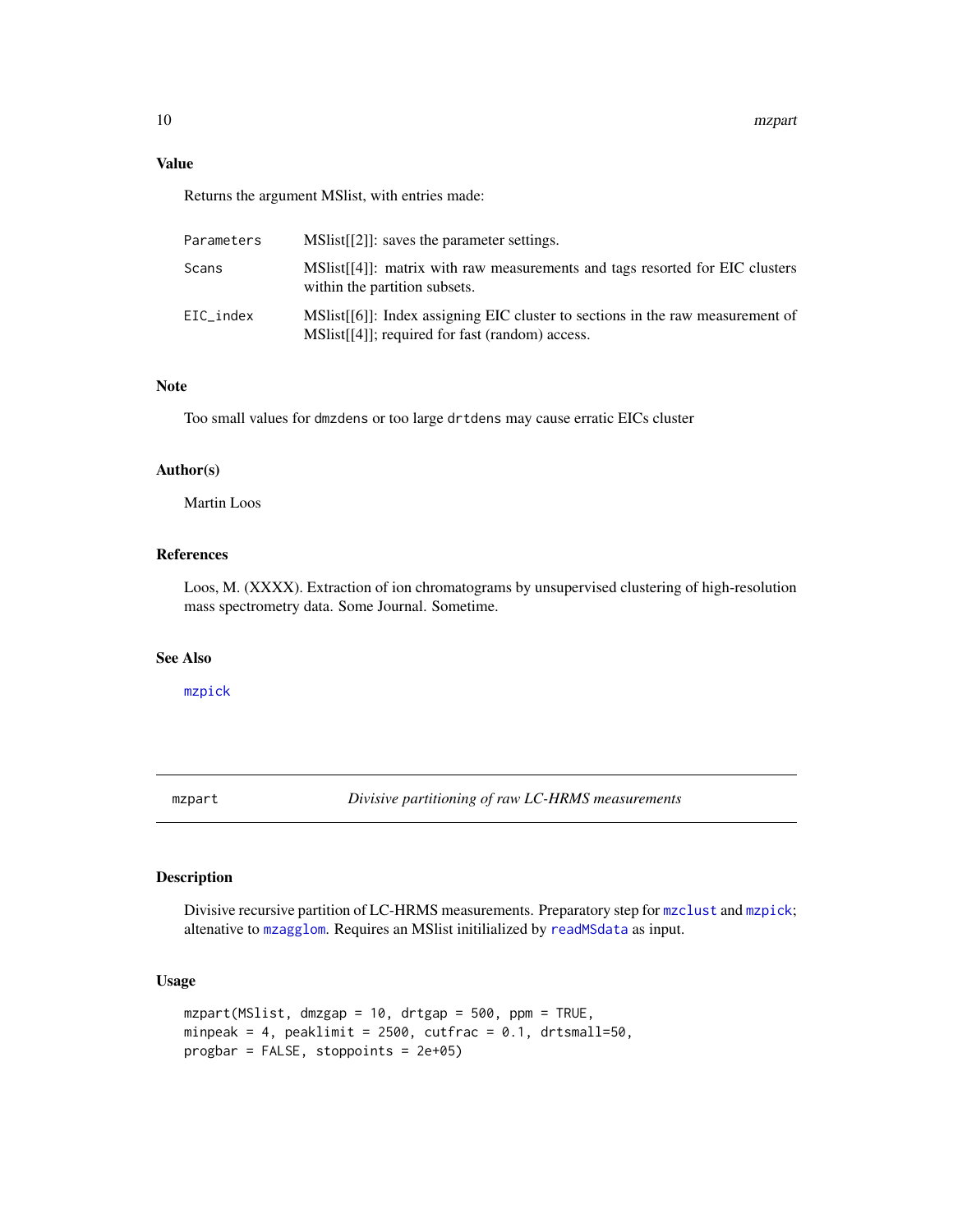# <span id="page-9-0"></span>Value

Returns the argument MSlist, with entries made:

| Parameters | MSI. Saves the parameter settings.                                                                                             |
|------------|--------------------------------------------------------------------------------------------------------------------------------|
| Scans      | $MSlist[[4]]$ : matrix with raw measurements and tags resorted for EIC clusters<br>within the partition subsets.               |
| EIC index  | MSIst[[6]]: Index assigning EIC cluster to sections in the raw measurement of<br>MSI. [41]; required for fast (random) access. |

# Note

Too small values for dmzdens or too large drtdens may cause erratic EICs cluster

# Author(s)

Martin Loos

# References

Loos, M. (XXXX). Extraction of ion chromatograms by unsupervised clustering of high-resolution mass spectrometry data. Some Journal. Sometime.

# See Also

[mzpick](#page-11-1)

<span id="page-9-1"></span>mzpart *Divisive partitioning of raw LC-HRMS measurements*

#### Description

Divisive recursive partition of LC-HRMS measurements. Preparatory step for [mzclust](#page-8-1) and [mzpick](#page-11-1); altenative to [mzagglom](#page-6-1). Requires an MSlist initilialized by [readMSdata](#page-14-1) as input.

#### Usage

```
mzpart(MSlist, dmzgap = 10, drtgap = 500, ppm = TRUE,
minpeak = 4, peaklimit = 2500, cutfrac = 0.1, drtsmall=50,
progbar = FALSE, stoppoints = 2e+05)
```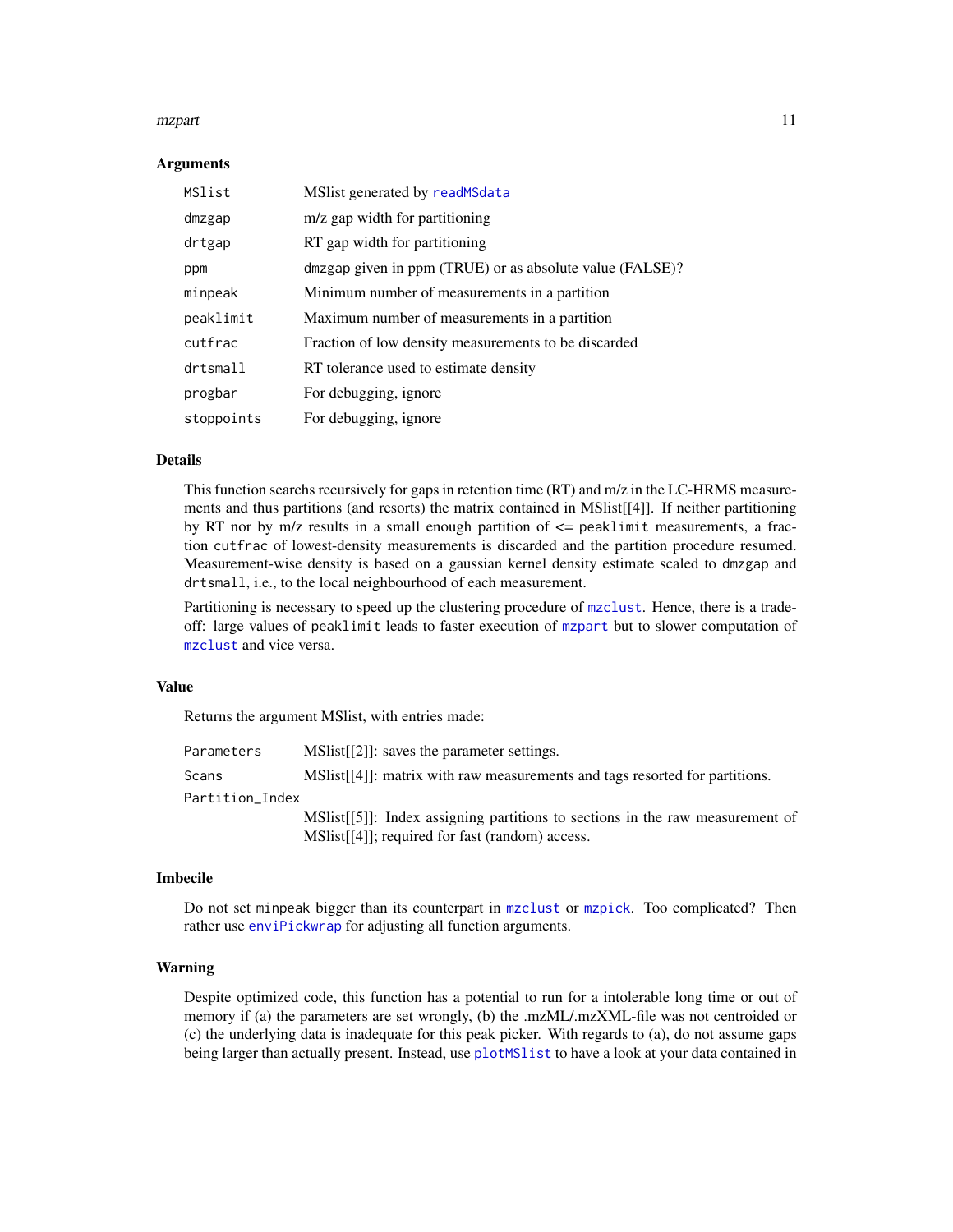#### <span id="page-10-0"></span>mzpart 11

#### Arguments

| MSlist     | MSlist generated by readMSdata                           |
|------------|----------------------------------------------------------|
| dmzgap     | m/z gap width for partitioning                           |
| drtgap     | RT gap width for partitioning                            |
| ppm        | dmzgap given in ppm (TRUE) or as absolute value (FALSE)? |
| minpeak    | Minimum number of measurements in a partition            |
| peaklimit  | Maximum number of measurements in a partition            |
| cutfrac    | Fraction of low density measurements to be discarded     |
| drtsmall   | RT tolerance used to estimate density                    |
| progbar    | For debugging, ignore                                    |
| stoppoints | For debugging, ignore                                    |

#### Details

This function searchs recursively for gaps in retention time (RT) and m/z in the LC-HRMS measurements and thus partitions (and resorts) the matrix contained in MSlist[[4]]. If neither partitioning by RT nor by  $m/z$  results in a small enough partition of  $\leq$  peaklimit measurements, a fraction cutfrac of lowest-density measurements is discarded and the partition procedure resumed. Measurement-wise density is based on a gaussian kernel density estimate scaled to dmzgap and drtsmall, i.e., to the local neighbourhood of each measurement.

Partitioning is necessary to speed up the clustering procedure of [mzclust](#page-8-1). Hence, there is a tradeoff: large values of peaklimit leads to faster execution of [mzpart](#page-9-1) but to slower computation of [mzclust](#page-8-1) and vice versa.

# Value

Returns the argument MSlist, with entries made:

| Parameters      | MSIst[[2]]: saves the parameter settings.                                     |
|-----------------|-------------------------------------------------------------------------------|
| Scans           | MSIIst[[4]]: matrix with raw measurements and tags resorted for partitions.   |
| Partition Index |                                                                               |
|                 | MSlist[[5]]: Index assigning partitions to sections in the raw measurement of |
|                 | MSI. [41]; required for fast (random) access.                                 |

#### Imbecile

Do not set minpeak bigger than its counterpart in [mzclust](#page-8-1) or [mzpick](#page-11-1). Too complicated? Then rather use [enviPickwrap](#page-5-1) for adjusting all function arguments.

#### Warning

Despite optimized code, this function has a potential to run for a intolerable long time or out of memory if (a) the parameters are set wrongly, (b) the .mzML/.mzXML-file was not centroided or (c) the underlying data is inadequate for this peak picker. With regards to (a), do not assume gaps being larger than actually present. Instead, use [plotMSlist](#page-13-1) to have a look at your data contained in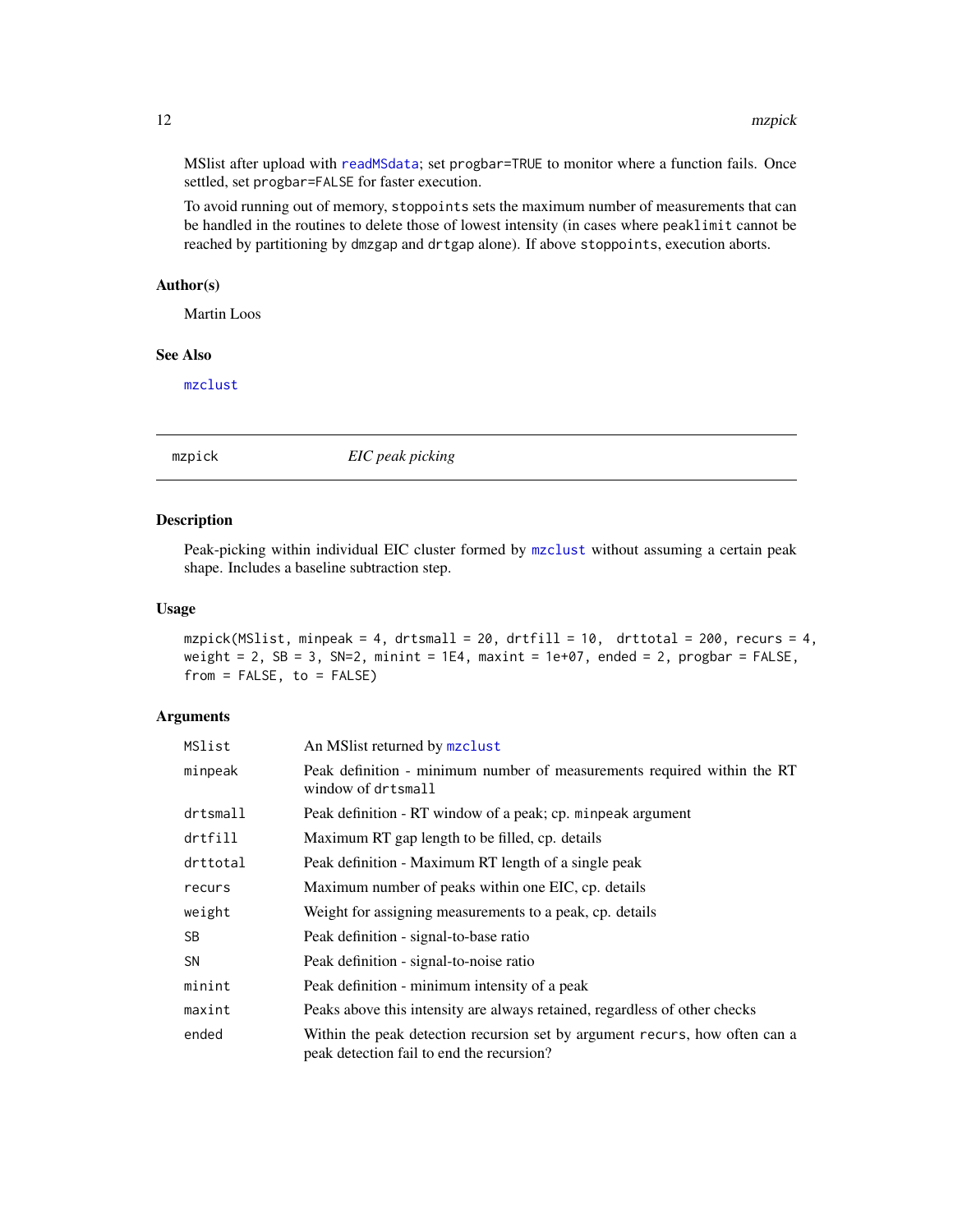MSlist after upload with [readMSdata](#page-14-1); set progbar=TRUE to monitor where a function fails. Once settled, set progbar=FALSE for faster execution.

To avoid running out of memory, stoppoints sets the maximum number of measurements that can be handled in the routines to delete those of lowest intensity (in cases where peaklimit cannot be reached by partitioning by dmzgap and drtgap alone). If above stoppoints, execution aborts.

# Author(s)

Martin Loos

# See Also

[mzclust](#page-8-1)

<span id="page-11-1"></span>

mzpick *EIC peak picking*

#### Description

Peak-picking within individual EIC cluster formed by [mzclust](#page-8-1) without assuming a certain peak shape. Includes a baseline subtraction step.

#### Usage

mzpick(MSlist, minpeak = 4, drtsmall = 20, drtfill = 10, drttotal = 200, recurs = 4, weight = 2, SB = 3, SN=2, minint = 1E4, maxint = 1e+07, ended = 2, progbar = FALSE,  $from = FALSE, to = FALSE)$ 

# Arguments

| MSlist    | An MS list returned by mzclust                                                                                           |
|-----------|--------------------------------------------------------------------------------------------------------------------------|
| minpeak   | Peak definition - minimum number of measurements required within the RT<br>window of drtsmall                            |
| drtsmall  | Peak definition - RT window of a peak; cp. minpeak argument                                                              |
| drtfill   | Maximum RT gap length to be filled, cp. details                                                                          |
| drttotal  | Peak definition - Maximum RT length of a single peak                                                                     |
| recurs    | Maximum number of peaks within one EIC, cp. details                                                                      |
| weight    | Weight for assigning measurements to a peak, cp. details                                                                 |
| <b>SB</b> | Peak definition - signal-to-base ratio                                                                                   |
| <b>SN</b> | Peak definition - signal-to-noise ratio                                                                                  |
| minint    | Peak definition - minimum intensity of a peak                                                                            |
| maxint    | Peaks above this intensity are always retained, regardless of other checks                                               |
| ended     | Within the peak detection recursion set by argument recurs, how often can a<br>peak detection fail to end the recursion? |

<span id="page-11-0"></span>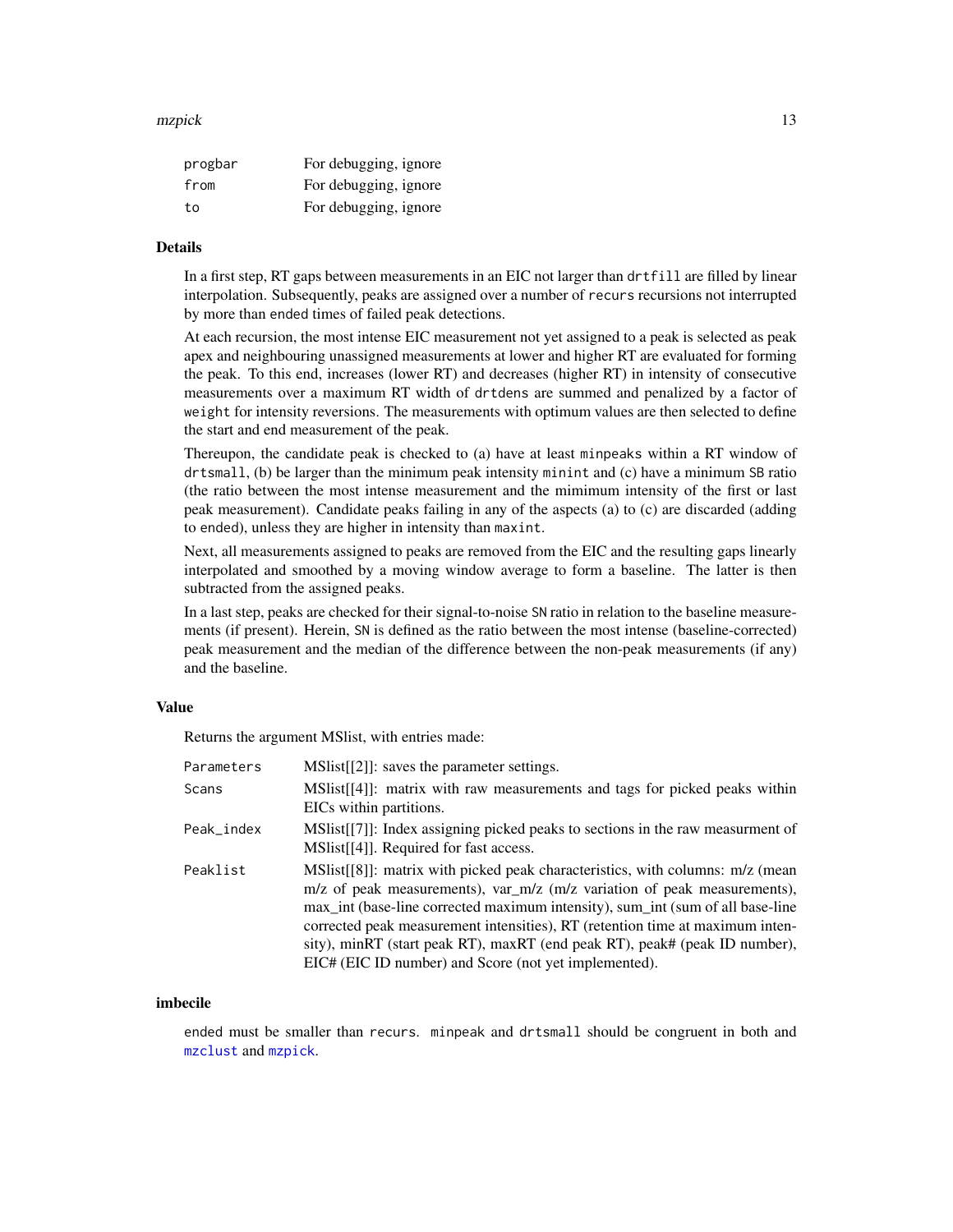#### <span id="page-12-0"></span>mzpick that the contract of the contract of the contract of the contract of the contract of the contract of the contract of the contract of the contract of the contract of the contract of the contract of the contract of th

| progbar | For debugging, ignore |
|---------|-----------------------|
| from    | For debugging, ignore |
| tο      | For debugging, ignore |

# Details

In a first step, RT gaps between measurements in an EIC not larger than drtfill are filled by linear interpolation. Subsequently, peaks are assigned over a number of recurs recursions not interrupted by more than ended times of failed peak detections.

At each recursion, the most intense EIC measurement not yet assigned to a peak is selected as peak apex and neighbouring unassigned measurements at lower and higher RT are evaluated for forming the peak. To this end, increases (lower RT) and decreases (higher RT) in intensity of consecutive measurements over a maximum RT width of drtdens are summed and penalized by a factor of weight for intensity reversions. The measurements with optimum values are then selected to define the start and end measurement of the peak.

Thereupon, the candidate peak is checked to (a) have at least minpeaks within a RT window of drtsmall, (b) be larger than the minimum peak intensity minint and (c) have a minimum SB ratio (the ratio between the most intense measurement and the mimimum intensity of the first or last peak measurement). Candidate peaks failing in any of the aspects (a) to (c) are discarded (adding to ended), unless they are higher in intensity than maxint.

Next, all measurements assigned to peaks are removed from the EIC and the resulting gaps linearly interpolated and smoothed by a moving window average to form a baseline. The latter is then subtracted from the assigned peaks.

In a last step, peaks are checked for their signal-to-noise SN ratio in relation to the baseline measurements (if present). Herein, SN is defined as the ratio between the most intense (baseline-corrected) peak measurement and the median of the difference between the non-peak measurements (if any) and the baseline.

#### Value

Returns the argument MSlist, with entries made:

| Parameters | MSIst[[2]]: saves the parameter settings.                                                                                                                                                                                                                                                                                                                                                                                                                            |
|------------|----------------------------------------------------------------------------------------------------------------------------------------------------------------------------------------------------------------------------------------------------------------------------------------------------------------------------------------------------------------------------------------------------------------------------------------------------------------------|
| Scans      | MSIist[[4]]: matrix with raw measurements and tags for picked peaks within<br>EICs within partitions.                                                                                                                                                                                                                                                                                                                                                                |
| Peak_index | $MSlist[[7]]$ : Index assigning picked peaks to sections in the raw measurment of<br>MSlist[[4]]. Required for fast access.                                                                                                                                                                                                                                                                                                                                          |
| Peaklist   | MSIst[[8]]: matrix with picked peak characteristics, with columns: $m/z$ (mean<br>m/z of peak measurements), var_m/z (m/z variation of peak measurements),<br>max_int (base-line corrected maximum intensity), sum_int (sum of all base-line<br>corrected peak measurement intensities), RT (retention time at maximum inten-<br>sity), minRT (start peak RT), maxRT (end peak RT), peak# (peak ID number),<br>EIC# (EIC ID number) and Score (not yet implemented). |

### imbecile

ended must be smaller than recurs. minpeak and drtsmall should be congruent in both and [mzclust](#page-8-1) and [mzpick](#page-11-1).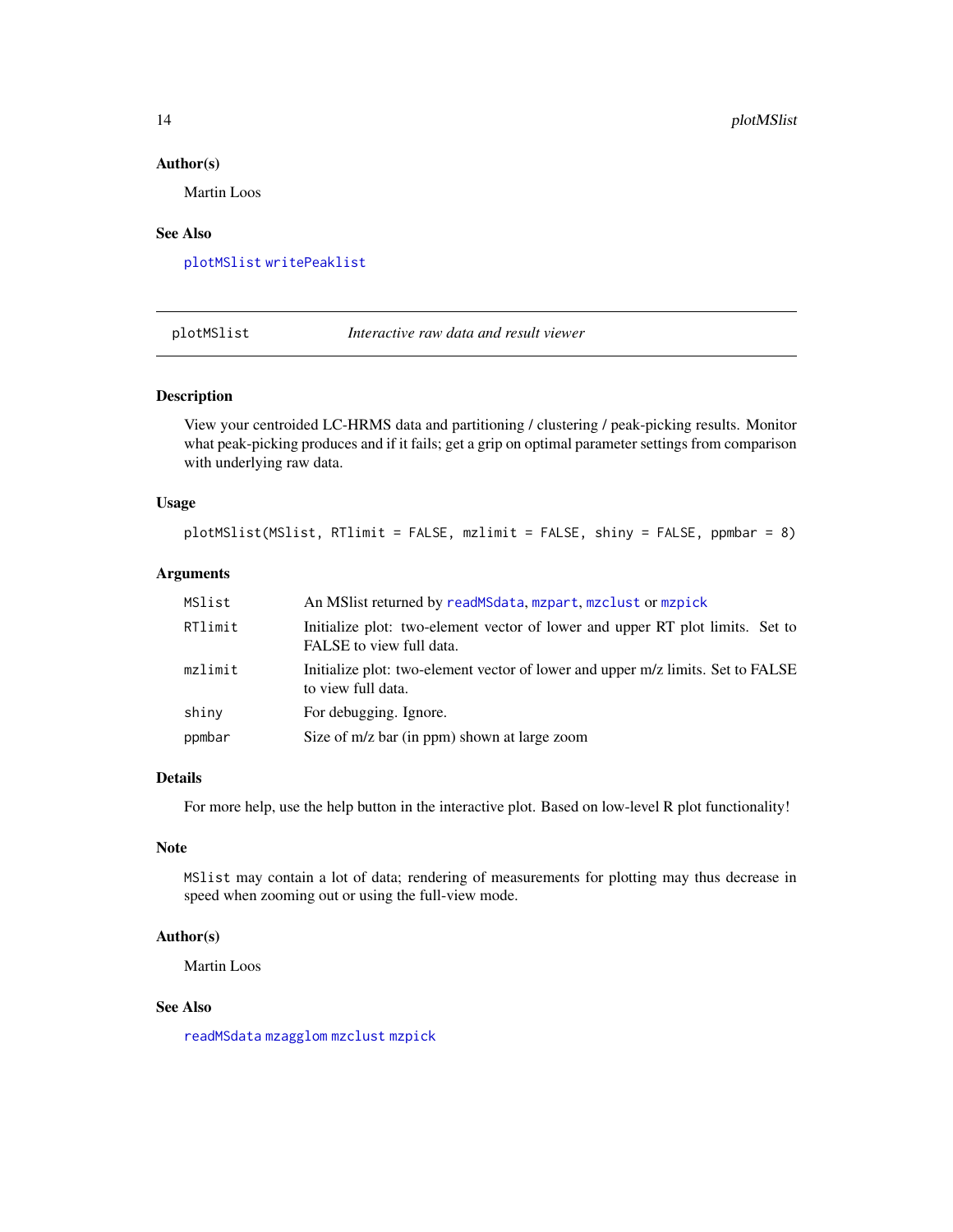#### Author(s)

Martin Loos

#### See Also

[plotMSlist](#page-13-1) [writePeaklist](#page-16-1)

<span id="page-13-1"></span>plotMSlist *Interactive raw data and result viewer*

# Description

View your centroided LC-HRMS data and partitioning / clustering / peak-picking results. Monitor what peak-picking produces and if it fails; get a grip on optimal parameter settings from comparison with underlying raw data.

# Usage

```
plotMSlist(MSlist, RTlimit = FALSE, mzlimit = FALSE, shiny = FALSE, ppmbar = 8)
```
# Arguments

| MSlist  | An MSI ist returned by read MSdata, mzpart, mzclust or mzpick                                             |
|---------|-----------------------------------------------------------------------------------------------------------|
| RTlimit | Initialize plot: two-element vector of lower and upper RT plot limits. Set to<br>FALSE to view full data. |
| mzlimit | Initialize plot: two-element vector of lower and upper m/z limits. Set to FALSE<br>to view full data.     |
| shiny   | For debugging. Ignore.                                                                                    |
| ppmbar  | Size of m/z bar (in ppm) shown at large zoom                                                              |

# Details

For more help, use the help button in the interactive plot. Based on low-level R plot functionality!

### Note

MSlist may contain a lot of data; rendering of measurements for plotting may thus decrease in speed when zooming out or using the full-view mode.

#### Author(s)

Martin Loos

#### See Also

[readMSdata](#page-14-1) [mzagglom](#page-6-1) [mzclust](#page-8-1) [mzpick](#page-11-1)

<span id="page-13-0"></span>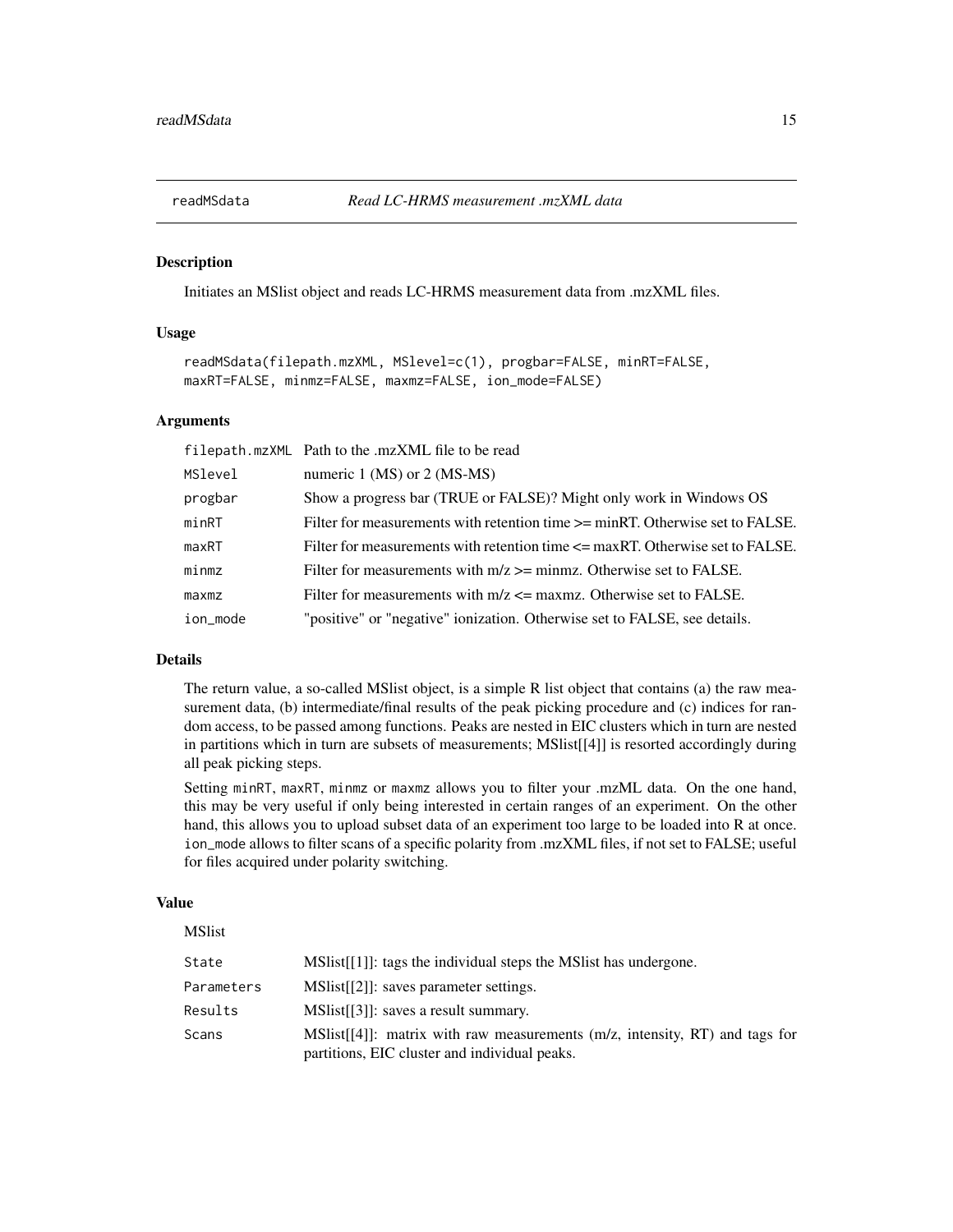<span id="page-14-1"></span><span id="page-14-0"></span>

Initiates an MSlist object and reads LC-HRMS measurement data from .mzXML files.

#### Usage

```
readMSdata(filepath.mzXML, MSlevel=c(1), progbar=FALSE, minRT=FALSE,
maxRT=FALSE, minmz=FALSE, maxmz=FALSE, ion_mode=FALSE)
```
#### **Arguments**

|          | filepath.mzXML Path to the .mzXML file to be read                                  |
|----------|------------------------------------------------------------------------------------|
| MSlevel  | numeric $1$ (MS) or $2$ (MS-MS)                                                    |
| progbar  | Show a progress bar (TRUE or FALSE)? Might only work in Windows OS                 |
| minRT    | Filter for measurements with retention time $\ge$ = minRT. Otherwise set to FALSE. |
| maxRT    | Filter for measurements with retention time $\leq$ maxRT. Otherwise set to FALSE.  |
| minmz    | Filter for measurements with $m/z \ge$ minmz. Otherwise set to FALSE.              |
| maxmz    | Filter for measurements with $m/z \leq$ maxmz. Otherwise set to FALSE.             |
| ion_mode | "positive" or "negative" ionization. Otherwise set to FALSE, see details.          |

# Details

The return value, a so-called MSlist object, is a simple R list object that contains (a) the raw measurement data, (b) intermediate/final results of the peak picking procedure and (c) indices for random access, to be passed among functions. Peaks are nested in EIC clusters which in turn are nested in partitions which in turn are subsets of measurements; MSlist[[4]] is resorted accordingly during all peak picking steps.

Setting minRT, maxRT, minmz or maxmz allows you to filter your .mzML data. On the one hand, this may be very useful if only being interested in certain ranges of an experiment. On the other hand, this allows you to upload subset data of an experiment too large to be loaded into R at once. ion\_mode allows to filter scans of a specific polarity from .mzXML files, if not set to FALSE; useful for files acquired under polarity switching.

#### Value

| <b>MSlist</b> |                                                                                                                                |
|---------------|--------------------------------------------------------------------------------------------------------------------------------|
| State         | $MSlist[[1]]$ : tags the individual steps the MSI ist has undergone.                                                           |
| Parameters    | MSIst[[2]]: saves parameter settings.                                                                                          |
| Results       | MSIst[[3]]: saves a result summary.                                                                                            |
| Scans         | MSIIst[[4]]: matrix with raw measurements $(m/z,$ intensity, RT) and tags for<br>partitions, EIC cluster and individual peaks. |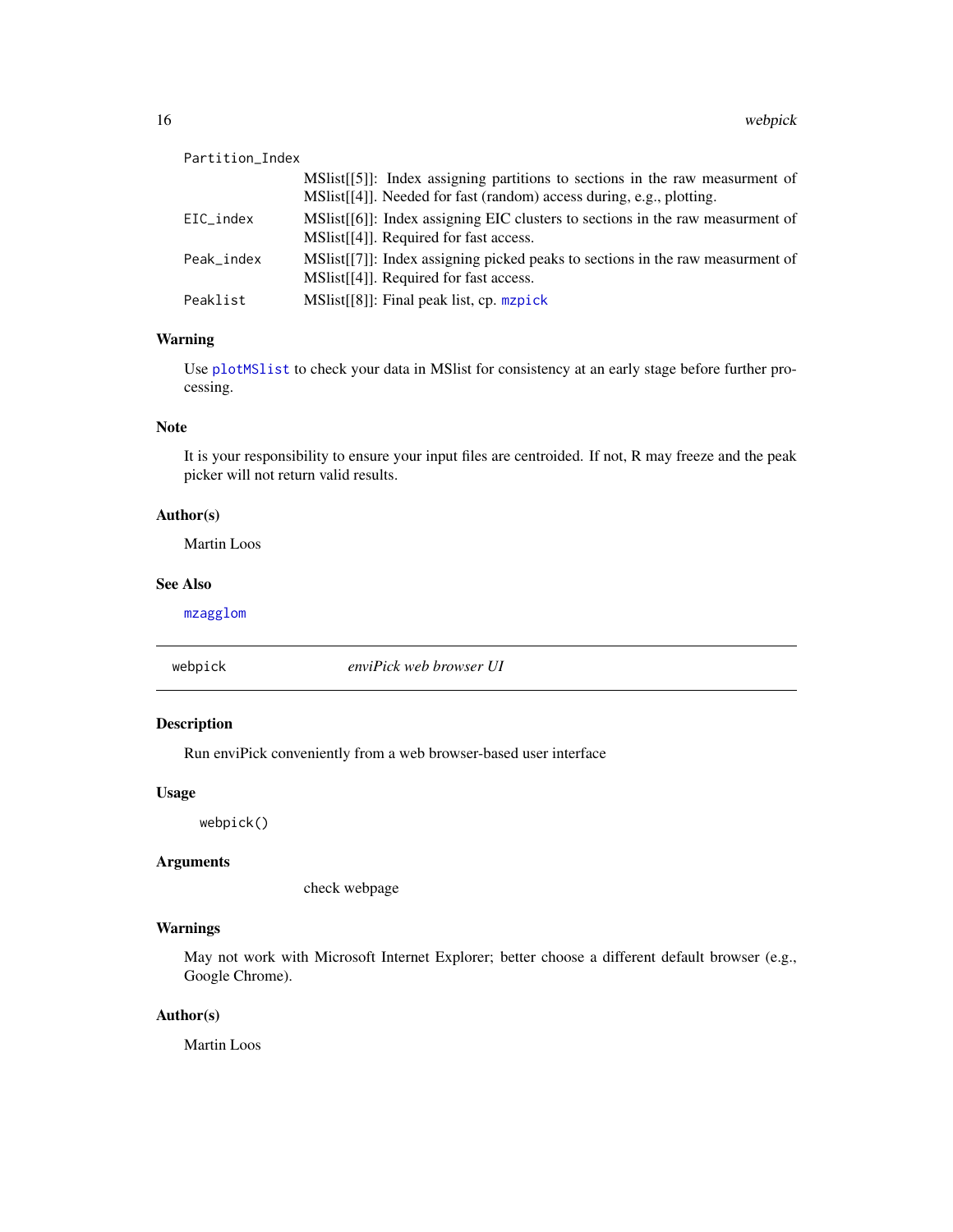<span id="page-15-0"></span>

| Partition_Index |                                                                                                                                                         |
|-----------------|---------------------------------------------------------------------------------------------------------------------------------------------------------|
|                 | $MSlist[[5]]$ : Index assigning partitions to sections in the raw measuresnt of<br>MSlist[[4]]. Needed for fast (random) access during, e.g., plotting. |
| EIC_index       | MSIst[[6]]: Index assigning EIC clusters to sections in the raw measurment of<br>MSI. [41]. Required for fast access.                                   |
| Peak index      | MSIst[[7]]: Index assigning picked peaks to sections in the raw measurment of<br>MSlist[[4]]. Required for fast access.                                 |
| Peaklist        | $MSlist[[8]]$ : Final peak list, cp. mzpick                                                                                                             |

# Warning

Use [plotMSlist](#page-13-1) to check your data in MSlist for consistency at an early stage before further processing.

# Note

It is your responsibility to ensure your input files are centroided. If not, R may freeze and the peak picker will not return valid results.

# Author(s)

Martin Loos

# See Also

[mzagglom](#page-6-1)

webpick *enviPick web browser UI*

# Description

Run enviPick conveniently from a web browser-based user interface

#### Usage

webpick()

#### Arguments

check webpage

# Warnings

May not work with Microsoft Internet Explorer; better choose a different default browser (e.g., Google Chrome).

# Author(s)

Martin Loos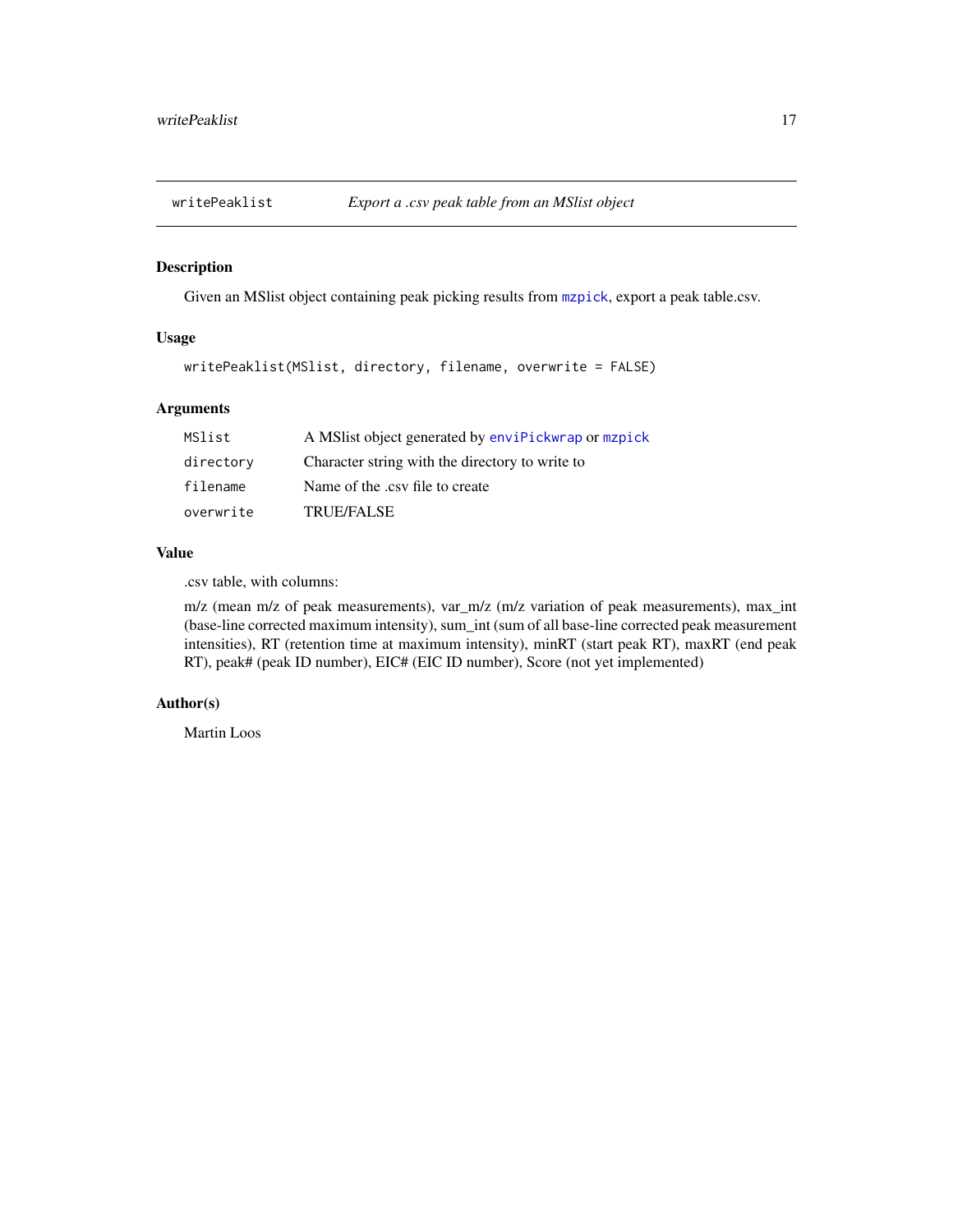<span id="page-16-1"></span><span id="page-16-0"></span>

Given an MSlist object containing peak picking results from [mzpick](#page-11-1), export a peak table.csv.

### Usage

```
writePeaklist(MSlist, directory, filename, overwrite = FALSE)
```
# Arguments

| MSlist    | A MS list object generated by envirtick wrap or maplick |
|-----------|---------------------------------------------------------|
| directory | Character string with the directory to write to         |
| filename  | Name of the .csv file to create                         |
| overwrite | <b>TRUE/FALSE</b>                                       |

#### Value

.csv table, with columns:

m/z (mean m/z of peak measurements), var\_m/z (m/z variation of peak measurements), max\_int (base-line corrected maximum intensity), sum\_int (sum of all base-line corrected peak measurement intensities), RT (retention time at maximum intensity), minRT (start peak RT), maxRT (end peak RT), peak# (peak ID number), EIC# (EIC ID number), Score (not yet implemented)

# Author(s)

Martin Loos